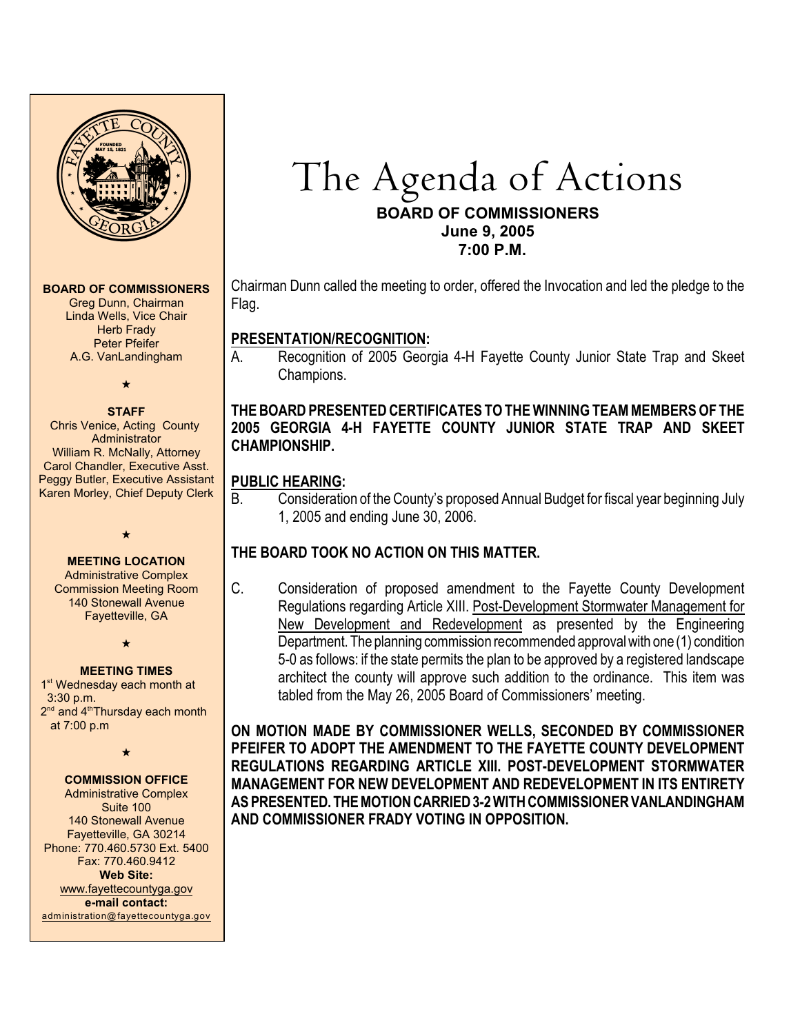

#### **BOARD OF COMMISSIONERS**

Greg Dunn, Chairman Linda Wells, Vice Chair **Herb Frady** Peter Pfeifer A.G. VanLandingham

#### $\star$

#### **STAFF**

Chris Venice, Acting County Administrator William R. McNally, Attorney Carol Chandler, Executive Asst. Peggy Butler, Executive Assistant Karen Morley, Chief Deputy Clerk



# **MEETING LOCATION**

Administrative Complex Commission Meeting Room 140 Stonewall Avenue Fayetteville, GA

 $\star$ 

# **MEETING TIMES**

1<sup>st</sup> Wednesday each month at 3:30 p.m.  $2<sup>nd</sup>$  and  $4<sup>th</sup>$ Thursday each month at 7:00 p.m

 $\star$ 

#### **COMMISSION OFFICE**

Administrative Complex Suite 100 140 Stonewall Avenue Fayetteville, GA 30214 Phone: 770.460.5730 Ext. 5400 Fax: 770.460.9412 **Web Site:** [www.fayettecountyga.gov](http://www.admin.co.fayette.ga.us) **e-mail contact:** [administration@fayettecountyga.gov](mailto:administration@fayettecountyga.gov)

# The Agenda of Actions **BOARD OF COMMISSIONERS June 9, 2005 7:00 P.M.**

Chairman Dunn called the meeting to order, offered the Invocation and led the pledge to the Flag.

# **PRESENTATION/RECOGNITION:**

A. Recognition of 2005 Georgia 4-H Fayette County Junior State Trap and Skeet Champions.

# **THE BOARD PRESENTED CERTIFICATES TO THE WINNING TEAM MEMBERS OF THE 2005 GEORGIA 4-H FAYETTE COUNTY JUNIOR STATE TRAP AND SKEET CHAMPIONSHIP.**

# **PUBLIC HEARING:**

B. Consideration of the County's proposed Annual Budget for fiscal year beginning July 1, 2005 and ending June 30, 2006.

# **THE BOARD TOOK NO ACTION ON THIS MATTER.**

C. Consideration of proposed amendment to the Fayette County Development Regulations regarding Article XIII. Post-Development Stormwater Management for New Development and Redevelopment as presented by the Engineering Department. The planning commission recommended approval with one (1) condition 5-0 as follows: if the state permits the plan to be approved by a registered landscape architect the county will approve such addition to the ordinance. This item was tabled from the May 26, 2005 Board of Commissioners' meeting.

**ON MOTION MADE BY COMMISSIONER WELLS, SECONDED BY COMMISSIONER PFEIFER TO ADOPT THE AMENDMENT TO THE FAYETTE COUNTY DEVELOPMENT REGULATIONS REGARDING ARTICLE XIII. POST-DEVELOPMENT STORMWATER MANAGEMENT FOR NEW DEVELOPMENT AND REDEVELOPMENT IN ITS ENTIRETY AS PRESENTED. THE MOTION CARRIED 3-2 WITH COMMISSIONER VANLANDINGHAM AND COMMISSIONER FRADY VOTING IN OPPOSITION.**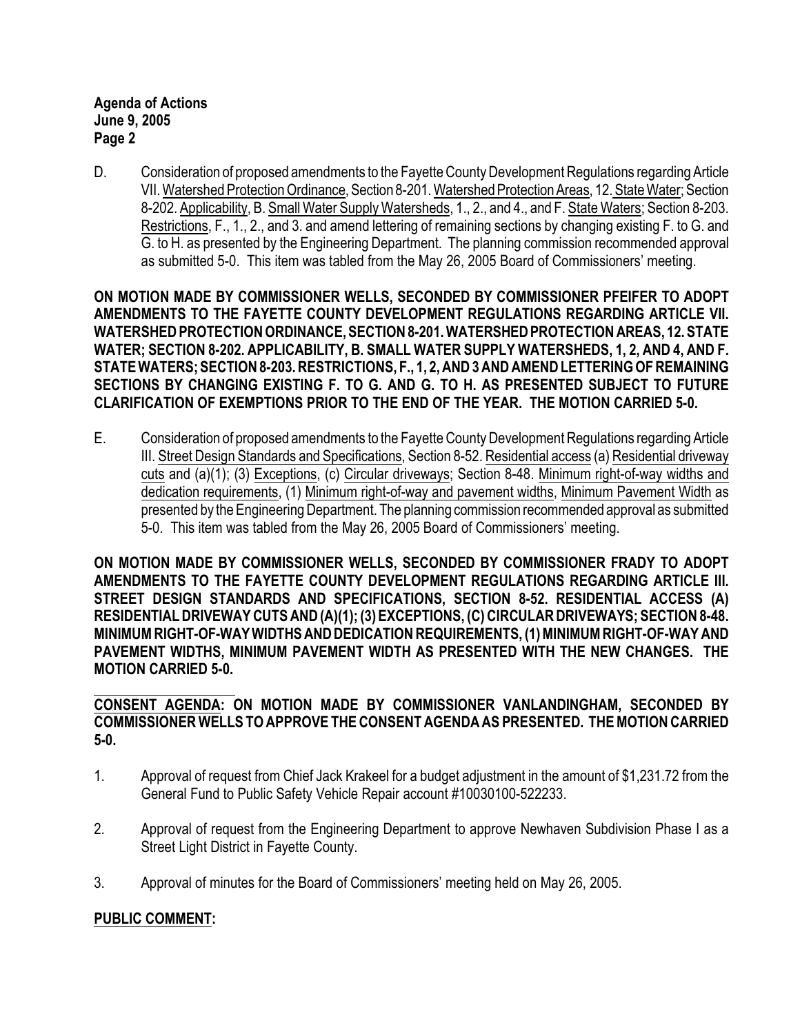**Agenda of Actions June 9, 2005 Page 2**

D. Consideration of proposed amendments to the Fayette County Development Regulations regarding Article VII. Watershed Protection Ordinance, Section 8-201. Watershed Protection Areas, 12. State Water; Section 8-202. Applicability, B. Small Water Supply Watersheds, 1., 2., and 4., and F. State Waters; Section 8-203. Restrictions, F., 1., 2., and 3. and amend lettering of remaining sections by changing existing F. to G. and G. to H. as presented by the Engineering Department. The planning commission recommended approval as submitted 5-0. This item was tabled from the May 26, 2005 Board of Commissioners' meeting.

**ON MOTION MADE BY COMMISSIONER WELLS, SECONDED BY COMMISSIONER PFEIFER TO ADOPT AMENDMENTS TO THE FAYETTE COUNTY DEVELOPMENT REGULATIONS REGARDING ARTICLE VII. WATERSHED PROTECTION ORDINANCE, SECTION 8-201. WATERSHED PROTECTION AREAS, 12. STATE WATER; SECTION 8-202. APPLICABILITY, B. SMALL WATER SUPPLY WATERSHEDS, 1, 2, AND 4, AND F. STATE WATERS; SECTION 8-203. RESTRICTIONS, F., 1, 2, AND 3 AND AMEND LETTERING OF REMAINING SECTIONS BY CHANGING EXISTING F. TO G. AND G. TO H. AS PRESENTED SUBJECT TO FUTURE CLARIFICATION OF EXEMPTIONS PRIOR TO THE END OF THE YEAR. THE MOTION CARRIED 5-0.** 

E. Consideration of proposed amendments to the Fayette County Development Regulations regarding Article III. Street Design Standards and Specifications, Section 8-52. Residential access (a) Residential driveway cuts and (a)(1); (3) Exceptions, (c) Circular driveways; Section 8-48. Minimum right-of-way widths and dedication requirements, (1) Minimum right-of-way and pavement widths, Minimum Pavement Width as presented by the Engineering Department. The planning commission recommended approval as submitted 5-0. This item was tabled from the May 26, 2005 Board of Commissioners' meeting.

**ON MOTION MADE BY COMMISSIONER WELLS, SECONDED BY COMMISSIONER FRADY TO ADOPT AMENDMENTS TO THE FAYETTE COUNTY DEVELOPMENT REGULATIONS REGARDING ARTICLE III. STREET DESIGN STANDARDS AND SPECIFICATIONS, SECTION 8-52. RESIDENTIAL ACCESS (A) RESIDENTIAL DRIVEWAY CUTS AND (A)(1); (3) EXCEPTIONS, (C) CIRCULAR DRIVEWAYS; SECTION 8-48. MINIMUM RIGHT-OF-WAY WIDTHS AND DEDICATION REQUIREMENTS, (1) MINIMUM RIGHT-OF-WAY AND PAVEMENT WIDTHS, MINIMUM PAVEMENT WIDTH AS PRESENTED WITH THE NEW CHANGES. THE MOTION CARRIED 5-0.** 

**CONSENT AGENDA: ON MOTION MADE BY COMMISSIONER VANLANDINGHAM, SECONDED BY COMMISSIONER WELLS TO APPROVE THE CONSENT AGENDA AS PRESENTED. THE MOTION CARRIED 5-0.** 

- 1. Approval of request from Chief Jack Krakeel for a budget adjustment in the amount of \$1,231.72 from the General Fund to Public Safety Vehicle Repair account #10030100-522233.
- 2. Approval of request from the Engineering Department to approve Newhaven Subdivision Phase I as a Street Light District in Fayette County.
- 3. Approval of minutes for the Board of Commissioners' meeting held on May 26, 2005.

# **PUBLIC COMMENT:**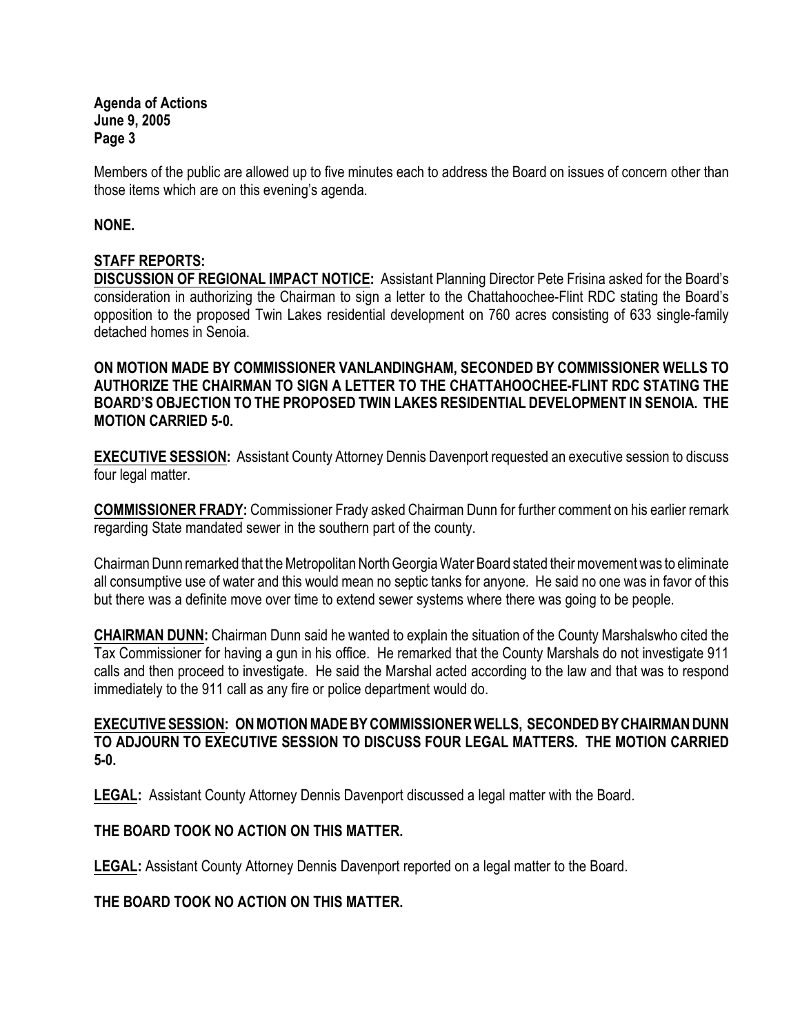**Agenda of Actions June 9, 2005 Page 3**

Members of the public are allowed up to five minutes each to address the Board on issues of concern other than those items which are on this evening's agenda.

#### **NONE.**

# **STAFF REPORTS:**

**DISCUSSION OF REGIONAL IMPACT NOTICE:** Assistant Planning Director Pete Frisina asked for the Board's consideration in authorizing the Chairman to sign a letter to the Chattahoochee-Flint RDC stating the Board's opposition to the proposed Twin Lakes residential development on 760 acres consisting of 633 single-family detached homes in Senoia.

**ON MOTION MADE BY COMMISSIONER VANLANDINGHAM, SECONDED BY COMMISSIONER WELLS TO AUTHORIZE THE CHAIRMAN TO SIGN A LETTER TO THE CHATTAHOOCHEE-FLINT RDC STATING THE BOARD'S OBJECTION TO THE PROPOSED TWIN LAKES RESIDENTIAL DEVELOPMENT IN SENOIA. THE MOTION CARRIED 5-0.** 

**EXECUTIVE SESSION:** Assistant County Attorney Dennis Davenport requested an executive session to discuss four legal matter.

**COMMISSIONER FRADY:** Commissioner Frady asked Chairman Dunn for further comment on his earlier remark regarding State mandated sewer in the southern part of the county.

Chairman Dunn remarked that the Metropolitan North Georgia Water Board stated their movement was to eliminate all consumptive use of water and this would mean no septic tanks for anyone. He said no one was in favor of this but there was a definite move over time to extend sewer systems where there was going to be people.

**CHAIRMAN DUNN:** Chairman Dunn said he wanted to explain the situation of the County Marshalswho cited the Tax Commissioner for having a gun in his office. He remarked that the County Marshals do not investigate 911 calls and then proceed to investigate. He said the Marshal acted according to the law and that was to respond immediately to the 911 call as any fire or police department would do.

#### **EXECUTIVE SESSION: ON MOTION MADE BY COMMISSIONER WELLS, SECONDED BY CHAIRMAN DUNN TO ADJOURN TO EXECUTIVE SESSION TO DISCUSS FOUR LEGAL MATTERS. THE MOTION CARRIED 5-0.**

**LEGAL:** Assistant County Attorney Dennis Davenport discussed a legal matter with the Board.

#### **THE BOARD TOOK NO ACTION ON THIS MATTER.**

**LEGAL:** Assistant County Attorney Dennis Davenport reported on a legal matter to the Board.

#### **THE BOARD TOOK NO ACTION ON THIS MATTER.**